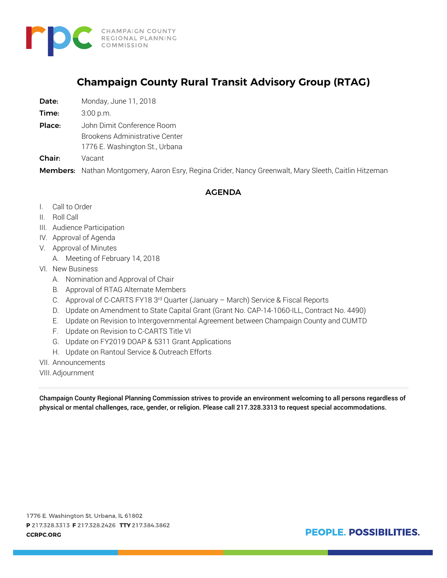

# **Champaign County Rural Transit Advisory Group (RTAG)**

Date: Monday, June 11, 2018

**Time:** 3:00 p.m.

Place: John Dimit Conference Room

Brookens Administrative Center

1776 E. Washington St., Urbana

Chair: Vacant

Members: Nathan Montgomery, Aaron Esry, Regina Crider, Nancy Greenwalt, Mary Sleeth, Caitlin Hitzeman

#### AGENDA

- I. Call to Order
- II. Roll Call
- III. Audience Participation
- IV. Approval of Agenda
- V. Approval of Minutes
	- A. Meeting of February 14, 2018
- VI. New Business
	- A. Nomination and Approval of Chair
	- B. Approval of RTAG Alternate Members
	- C. Approval of C-CARTS FY18 3rd Quarter (January March) Service & Fiscal Reports
	- D. Update on Amendment to State Capital Grant (Grant No. CAP-14-1060-ILL, Contract No. 4490)
	- E. Update on Revision to Intergovernmental Agreement between Champaign County and CUMTD
	- F. Update on Revision to C-CARTS Title VI
	- G. Update on FY2019 DOAP & 5311 Grant Applications
	- H. Update on Rantoul Service & Outreach Efforts
- VII. Announcements
- VIII.Adjournment

Champaign County Regional Planning Commission strives to provide an environment welcoming to all persons regardless of physical or mental challenges, race, gender, or religion. Please call 217.328.3313 to request special accommodations.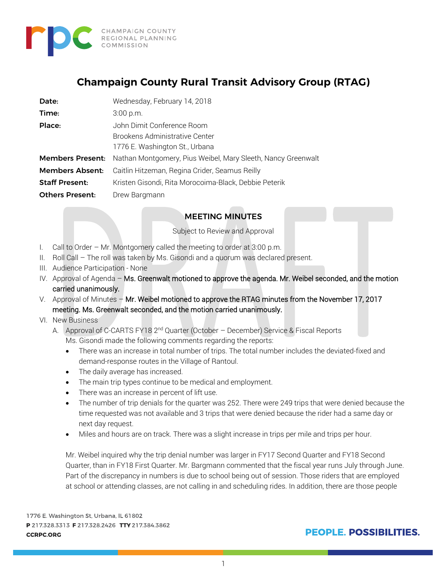

# **Champaign County Rural Transit Advisory Group (RTAG)**

| Date:                   | Wednesday, February 14, 2018                                 |
|-------------------------|--------------------------------------------------------------|
| Time:                   | 3:00 p.m.                                                    |
| Place:                  | John Dimit Conference Room                                   |
|                         | Brookens Administrative Center                               |
|                         | 1776 E. Washington St., Urbana                               |
| <b>Members Present:</b> | Nathan Montgomery, Pius Weibel, Mary Sleeth, Nancy Greenwalt |
| <b>Members Absent:</b>  | Caitlin Hitzeman, Regina Crider, Seamus Reilly               |
| <b>Staff Present:</b>   | Kristen Gisondi, Rita Morocoima-Black, Debbie Peterik        |
| <b>Others Present:</b>  | Drew Bargmann                                                |

### MEETING MINUTES

Subject to Review and Approval

- I. Call to Order Mr. Montgomery called the meeting to order at 3:00 p.m.
- II. Roll Call The roll was taken by Ms. Gisondi and a quorum was declared present.
- III. Audience Participation None
- IV. Approval of Agenda Ms. Greenwalt motioned to approve the agenda. Mr. Weibel seconded, and the motion carried unanimously.
- V. Approval of Minutes Mr. Weibel motioned to approve the RTAG minutes from the November 17, 2017 meeting. Ms. Greenwalt seconded, and the motion carried unanimously.
- VI. New Business
	- A. Approval of C-CARTS FY18 2<sup>nd</sup> Quarter (October December) Service & Fiscal Reports Ms. Gisondi made the following comments regarding the reports:
		- There was an increase in total number of trips. The total number includes the deviated-fixed and demand-response routes in the Village of Rantoul.
		- The daily average has increased.
		- The main trip types continue to be medical and employment.
		- There was an increase in percent of lift use.
		- The number of trip denials for the quarter was 252. There were 249 trips that were denied because the time requested was not available and 3 trips that were denied because the rider had a same day or next day request.
		- Miles and hours are on track. There was a slight increase in trips per mile and trips per hour.

Mr. Weibel inquired why the trip denial number was larger in FY17 Second Quarter and FY18 Second Quarter, than in FY18 First Quarter. Mr. Bargmann commented that the fiscal year runs July through June. Part of the discrepancy in numbers is due to school being out of session. Those riders that are employed at school or attending classes, are not calling in and scheduling rides. In addition, there are those people

1776 E. Washington St, Urbana, IL 61802 P 217.328.3313 F 217.328.2426 TTY 217.384.3862 **CCRPC.ORG**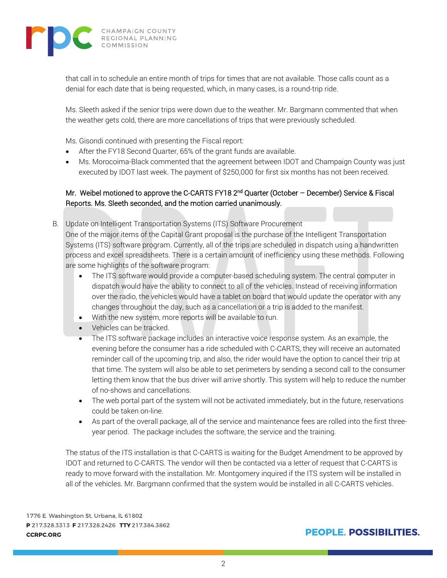

that call in to schedule an entire month of trips for times that are not available. Those calls count as a denial for each date that is being requested, which, in many cases, is a round-trip ride.

Ms. Sleeth asked if the senior trips were down due to the weather. Mr. Bargmann commented that when the weather gets cold, there are more cancellations of trips that were previously scheduled.

Ms. Gisondi continued with presenting the Fiscal report:

- After the FY18 Second Quarter, 65% of the grant funds are available.
- Ms. Morocoima-Black commented that the agreement between IDOT and Champaign County was just executed by IDOT last week. The payment of \$250,000 for first six months has not been received.

### Mr. Weibel motioned to approve the C-CARTS FY18 2<sup>nd</sup> Quarter (October - December) Service & Fiscal Reports. Ms. Sleeth seconded, and the motion carried unanimously.

B. Update on Intelligent Transportation Systems (ITS) Software Procurement One of the major items of the Capital Grant proposal is the purchase of the Intelligent Transportation Systems (ITS) software program. Currently, all of the trips are scheduled in dispatch using a handwritten process and excel spreadsheets. There is a certain amount of inefficiency using these methods. Following are some highlights of the software program:

- The ITS software would provide a computer-based scheduling system. The central computer in dispatch would have the ability to connect to all of the vehicles. Instead of receiving information over the radio, the vehicles would have a tablet on board that would update the operator with any changes throughout the day, such as a cancellation or a trip is added to the manifest.
- With the new system, more reports will be available to run.
- Vehicles can be tracked.
- The ITS software package includes an interactive voice response system. As an example, the evening before the consumer has a ride scheduled with C-CARTS, they will receive an automated reminder call of the upcoming trip, and also, the rider would have the option to cancel their trip at that time. The system will also be able to set perimeters by sending a second call to the consumer letting them know that the bus driver will arrive shortly. This system will help to reduce the number of no-shows and cancellations.
- The web portal part of the system will not be activated immediately, but in the future, reservations could be taken on-line.
- As part of the overall package, all of the service and maintenance fees are rolled into the first threeyear period. The package includes the software, the service and the training.

The status of the ITS installation is that C-CARTS is waiting for the Budget Amendment to be approved by IDOT and returned to C-CARTS. The vendor will then be contacted via a letter of request that C-CARTS is ready to move forward with the installation. Mr. Montgomery inquired if the ITS system will be installed in all of the vehicles. Mr. Bargmann confirmed that the system would be installed in all C-CARTS vehicles.

1776 E. Washington St, Urbana, IL 61802 P 217.328.3313 F 217.328.2426 TTY 217.384.3862 **CCRPC.ORG**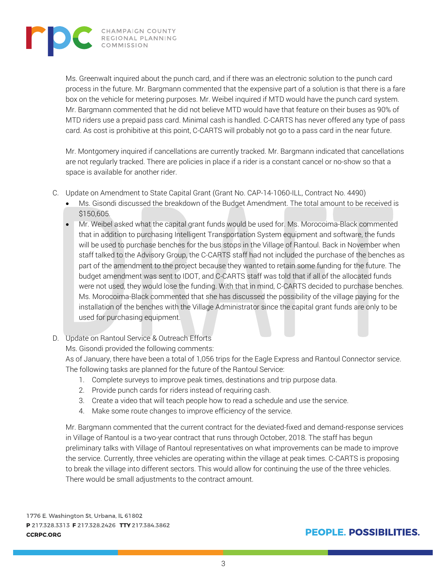

Ms. Greenwalt inquired about the punch card, and if there was an electronic solution to the punch card process in the future. Mr. Bargmann commented that the expensive part of a solution is that there is a fare box on the vehicle for metering purposes. Mr. Weibel inquired if MTD would have the punch card system. Mr. Bargmann commented that he did not believe MTD would have that feature on their buses as 90% of MTD riders use a prepaid pass card. Minimal cash is handled. C-CARTS has never offered any type of pass card. As cost is prohibitive at this point, C-CARTS will probably not go to a pass card in the near future.

Mr. Montgomery inquired if cancellations are currently tracked. Mr. Bargmann indicated that cancellations are not regularly tracked. There are policies in place if a rider is a constant cancel or no-show so that a space is available for another rider.

- C. Update on Amendment to State Capital Grant (Grant No. CAP-14-1060-ILL, Contract No. 4490)
	- Ms. Gisondi discussed the breakdown of the Budget Amendment. The total amount to be received is \$150,605.
	- Mr. Weibel asked what the capital grant funds would be used for. Ms. Morocoima-Black commented that in addition to purchasing Intelligent Transportation System equipment and software, the funds will be used to purchase benches for the bus stops in the Village of Rantoul. Back in November when staff talked to the Advisory Group, the C-CARTS staff had not included the purchase of the benches as part of the amendment to the project because they wanted to retain some funding for the future. The budget amendment was sent to IDOT, and C-CARTS staff was told that if all of the allocated funds were not used, they would lose the funding. With that in mind, C-CARTS decided to purchase benches. Ms. Morocoima-Black commented that she has discussed the possibility of the village paying for the installation of the benches with the Village Administrator since the capital grant funds are only to be used for purchasing equipment.
- D. Update on Rantoul Service & Outreach Efforts

Ms. Gisondi provided the following comments:

As of January, there have been a total of 1,056 trips for the Eagle Express and Rantoul Connector service. The following tasks are planned for the future of the Rantoul Service:

- 1. Complete surveys to improve peak times, destinations and trip purpose data.
- 2. Provide punch cards for riders instead of requiring cash.
- 3. Create a video that will teach people how to read a schedule and use the service.
- 4. Make some route changes to improve efficiency of the service.

Mr. Bargmann commented that the current contract for the deviated-fixed and demand-response services in Village of Rantoul is a two-year contract that runs through October, 2018. The staff has begun preliminary talks with Village of Rantoul representatives on what improvements can be made to improve the service. Currently, three vehicles are operating within the village at peak times. C-CARTS is proposing to break the village into different sectors. This would allow for continuing the use of the three vehicles. There would be small adjustments to the contract amount.

1776 E. Washington St, Urbana, IL 61802 P 217.328.3313 F 217.328.2426 TTY 217.384.3862 **CCRPC.ORG**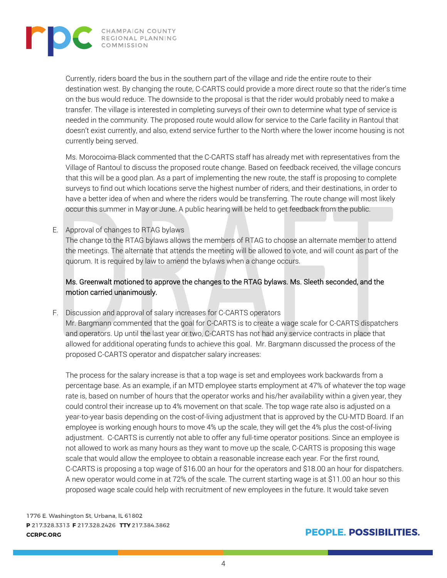

Currently, riders board the bus in the southern part of the village and ride the entire route to their destination west. By changing the route, C-CARTS could provide a more direct route so that the rider's time on the bus would reduce. The downside to the proposal is that the rider would probably need to make a transfer. The village is interested in completing surveys of their own to determine what type of service is needed in the community. The proposed route would allow for service to the Carle facility in Rantoul that doesn't exist currently, and also, extend service further to the North where the lower income housing is not currently being served.

Ms. Morocoima-Black commented that the C-CARTS staff has already met with representatives from the Village of Rantoul to discuss the proposed route change. Based on feedback received, the village concurs that this will be a good plan. As a part of implementing the new route, the staff is proposing to complete surveys to find out which locations serve the highest number of riders, and their destinations, in order to have a better idea of when and where the riders would be transferring. The route change will most likely occur this summer in May or June. A public hearing will be held to get feedback from the public.

#### E. Approval of changes to RTAG bylaws

The change to the RTAG bylaws allows the members of RTAG to choose an alternate member to attend the meetings. The alternate that attends the meeting will be allowed to vote, and will count as part of the quorum. It is required by law to amend the bylaws when a change occurs.

#### Ms. Greenwalt motioned to approve the changes to the RTAG bylaws. Ms. Sleeth seconded, and the motion carried unanimously.

F. Discussion and approval of salary increases for C-CARTS operators

Mr. Bargmann commented that the goal for C-CARTS is to create a wage scale for C-CARTS dispatchers and operators. Up until the last year or two, C-CARTS has not had any service contracts in place that allowed for additional operating funds to achieve this goal. Mr. Bargmann discussed the process of the proposed C-CARTS operator and dispatcher salary increases:

The process for the salary increase is that a top wage is set and employees work backwards from a percentage base. As an example, if an MTD employee starts employment at 47% of whatever the top wage rate is, based on number of hours that the operator works and his/her availability within a given year, they could control their increase up to 4% movement on that scale. The top wage rate also is adjusted on a year-to-year basis depending on the cost-of-living adjustment that is approved by the CU-MTD Board. If an employee is working enough hours to move 4% up the scale, they will get the 4% plus the cost-of-living adjustment. C-CARTS is currently not able to offer any full-time operator positions. Since an employee is not allowed to work as many hours as they want to move up the scale, C-CARTS is proposing this wage scale that would allow the employee to obtain a reasonable increase each year. For the first round, C-CARTS is proposing a top wage of \$16.00 an hour for the operators and \$18.00 an hour for dispatchers. A new operator would come in at 72% of the scale. The current starting wage is at \$11.00 an hour so this proposed wage scale could help with recruitment of new employees in the future. It would take seven

1776 E. Washington St, Urbana, IL 61802 P 217.328.3313 F 217.328.2426 TTY 217.384.3862 **CCRPC.ORG**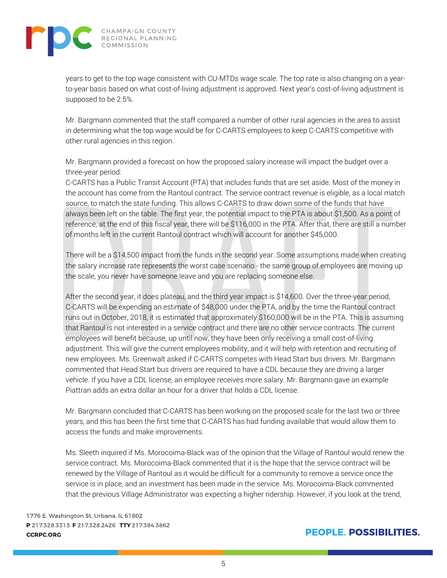

years to get to the top wage consistent with CU-MTDs wage scale. The top rate is also changing on a yearto-year basis based on what cost-of-living adjustment is approved. Next year's cost-of-living adjustment is supposed to be 2.5%.

Mr. Bargmann commented that the staff compared a number of other rural agencies in the area to assist in determining what the top wage would be for C-CARTS employees to keep C-CARTS competitive with other rural agencies in this region.

Mr. Bargmann provided a forecast on how the proposed salary increase will impact the budget over a three-year period:

C-CARTS has a Public Transit Account (PTA) that includes funds that are set aside. Most of the money in the account has come from the Rantoul contract. The service contract revenue is eligible, as a local match source, to match the state funding. This allows C-CARTS to draw down some of the funds that have always been left on the table. The first year, the potential impact to the PTA is about \$1,500. As a point of reference, at the end of this fiscal year, there will be \$116,000 in the PTA. After that, there are still a number of months left in the current Rantoul contract which will account for another \$45,000.

There will be a \$14,500 impact from the funds in the second year. Some assumptions made when creating the salary increase rate represents the worst case scenario - the same group of employees are moving up the scale, you never have someone leave and you are replacing someone else.

After the second year, it does plateau, and the third year impact is \$14,600. Over the three-year period, C-CARTS will be expending an estimate of \$48,000 under the PTA, and by the time the Rantoul contract runs out in October, 2018, it is estimated that approximately \$160,000 will be in the PTA. This is assuming that Rantoul is not interested in a service contract and there are no other service contracts. The current employees will benefit because, up until now, they have been only receiving a small cost-of-living adjustment. This will give the current employees mobility, and it will help with retention and recruiting of new employees. Ms. Greenwalt asked if C-CARTS competes with Head Start bus drivers. Mr. Bargmann commented that Head Start bus drivers are required to have a CDL because they are driving a larger vehicle. If you have a CDL license, an employee receives more salary. Mr. Bargmann gave an example Piattran adds an extra dollar an hour for a driver that holds a CDL license.

Mr. Bargmann concluded that C-CARTS has been working on the proposed scale for the last two or three years, and this has been the first time that C-CARTS has had funding available that would allow them to access the funds and make improvements.

Ms. Sleeth inquired if Ms. Morocoima-Black was of the opinion that the Village of Rantoul would renew the service contract. Ms. Morocoima-Black commented that it is the hope that the service contract will be renewed by the Village of Rantoul as it would be difficult for a community to remove a service once the service is in place, and an investment has been made in the service. Ms. Morocoima-Black commented that the previous Village Administrator was expecting a higher ridership. However, if you look at the trend,

1776 E. Washington St, Urbana, IL 61802 P 217.328.3313 F 217.328.2426 TTY 217.384.3862 **CCRPC.ORG**